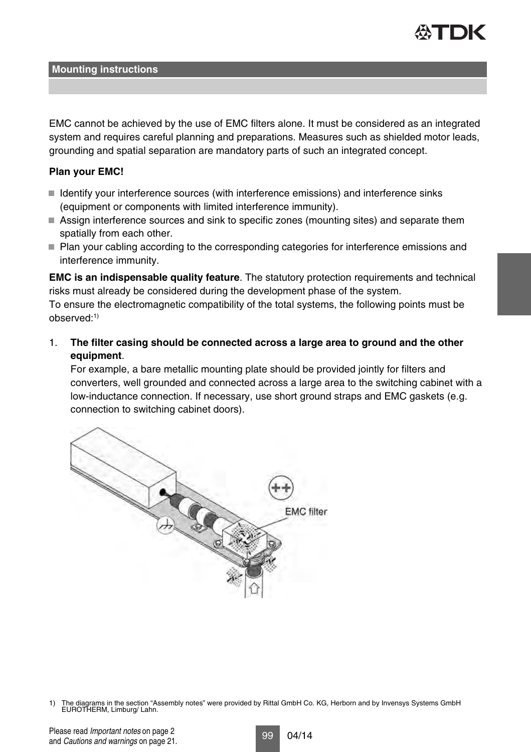

EMC cannot be achieved by the use of EMC filters alone. It must be considered as an integrated system and requires careful planning and preparations. Measures such as shielded motor leads, grounding and spatial separation are mandatory parts of such an integrated concept.

## **Plan your EMC!**

- I Identify your interference sources (with interference emissions) and interference sinks (equipment or components with limited interference immunity).
- Assign interference sources and sink to specific zones (mounting sites) and separate them spatially from each other.
- Plan your cabling according to the corresponding categories for interference emissions and interference immunity.

**EMC is an indispensable quality feature**. The statutory protection requirements and technical risks must already be considered during the development phase of the system. To ensure the electromagnetic compatibility of the total systems, the following points must be observed:1)

1. **The filter casing should be connected across a large area to ground and the other equipment**.

For example, a bare metallic mounting plate should be provided jointly for filters and converters, well grounded and connected across a large area to the switching cabinet with a low-inductance connection. If necessary, use short ground straps and EMC gaskets (e.g. connection to switching cabinet doors).



<sup>1)</sup> The diagrams in the section "Assembly notes" were provided by Rittal GmbH Co. KG, Herborn and by Invensys Systems GmbH EUROTHERM, Limburg/ Lahn.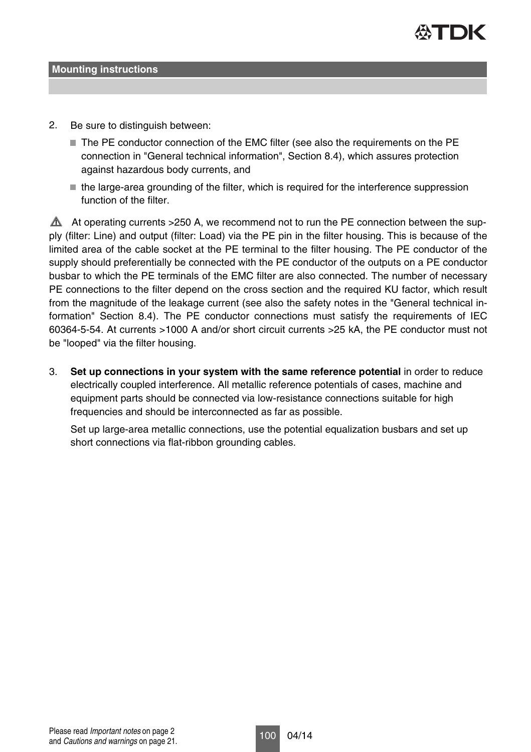

- 2. Be sure to distinguish between:
	- The PE conductor connection of the EMC filter (see also the requirements on the PE connection in "General technical information", Section 8.4), which assures protection against hazardous body currents, and
	- the large-area grounding of the filter, which is required for the interference suppression function of the filter.

 $\triangle$  At operating currents >250 A, we recommend not to run the PE connection between the supply (filter: Line) and output (filter: Load) via the PE pin in the filter housing. This is because of the limited area of the cable socket at the PE terminal to the filter housing. The PE conductor of the supply should preferentially be connected with the PE conductor of the outputs on a PE conductor busbar to which the PE terminals of the EMC filter are also connected. The number of necessary PE connections to the filter depend on the cross section and the required KU factor, which result from the magnitude of the leakage current (see also the safety notes in the "General technical information" Section 8.4). The PE conductor connections must satisfy the requirements of IEC 60364-5-54. At currents >1000 A and/or short circuit currents >25 kA, the PE conductor must not be "looped" via the filter housing.

3. **Set up connections in your system with the same reference potential** in order to reduce electrically coupled interference. All metallic reference potentials of cases, machine and equipment parts should be connected via low-resistance connections suitable for high frequencies and should be interconnected as far as possible.

Set up large-area metallic connections, use the potential equalization busbars and set up short connections via flat-ribbon grounding cables.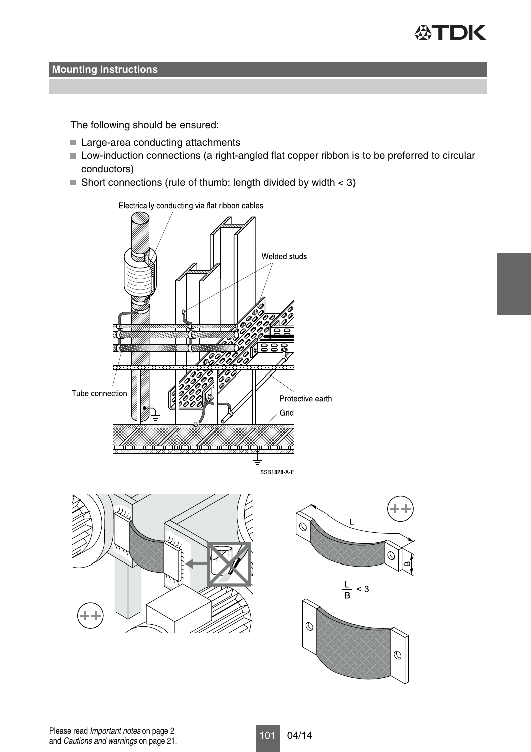

The following should be ensured:

- Large-area conducting attachments
- Low-induction connections (a right-angled flat copper ribbon is to be preferred to circular conductors)
- Short connections (rule of thumb: length divided by width  $<$  3)







Please read Important notes on page 2<br>101 04/14 and Cautions and warnings on page 21.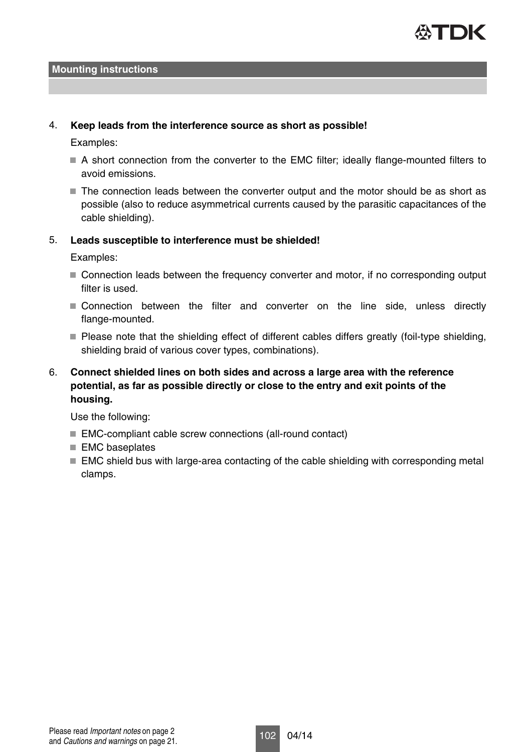

### 4. **Keep leads from the interference source as short as possible!**

Examples:

- A short connection from the converter to the EMC filter; ideally flange-mounted filters to avoid emissions.
- $\blacksquare$  The connection leads between the converter output and the motor should be as short as possible (also to reduce asymmetrical currents caused by the parasitic capacitances of the cable shielding).

## 5. **Leads susceptible to interference must be shielded!**

Examples:

- Connection leads between the frequency converter and motor, if no corresponding output filter is used.
- Connection between the filter and converter on the line side, unless directly flange-mounted.
- Please note that the shielding effect of different cables differs greatly (foil-type shielding, shielding braid of various cover types, combinations).

## 6. **Connect shielded lines on both sides and across a large area with the reference potential, as far as possible directly or close to the entry and exit points of the housing.**

Use the following:

- EMC-compliant cable screw connections (all-round contact)
- EMC baseplates
- $\blacksquare$  EMC shield bus with large-area contacting of the cable shielding with corresponding metal clamps.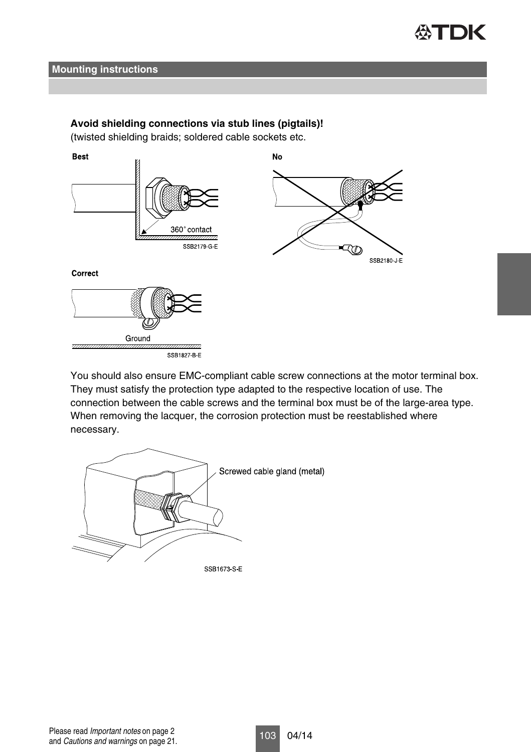

## **Avoid shielding connections via stub lines (pigtails)!**

(twisted shielding braids; soldered cable sockets etc.



You should also ensure EMC-compliant cable screw connections at the motor terminal box. They must satisfy the protection type adapted to the respective location of use. The connection between the cable screws and the terminal box must be of the large-area type. When removing the lacquer, the corrosion protection must be reestablished where necessary.

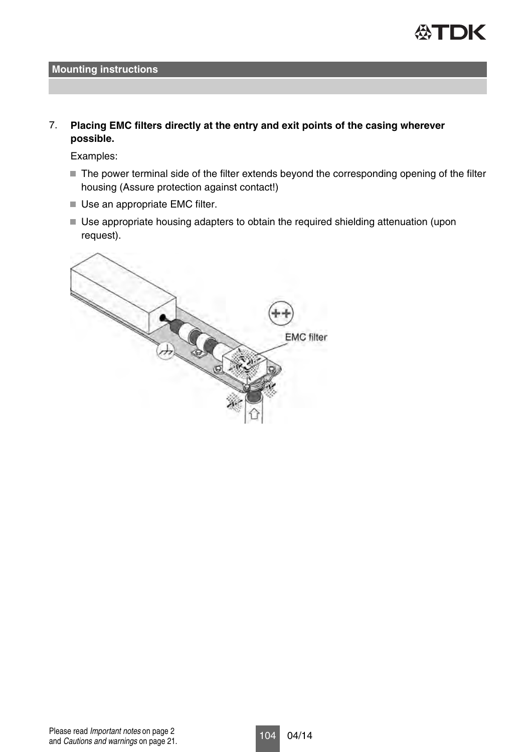

7. **Placing EMC filters directly at the entry and exit points of the casing wherever possible.**

Examples:

- The power terminal side of the filter extends beyond the corresponding opening of the filter housing (Assure protection against contact!)
- Use an appropriate EMC filter.
- Use appropriate housing adapters to obtain the required shielding attenuation (upon request).

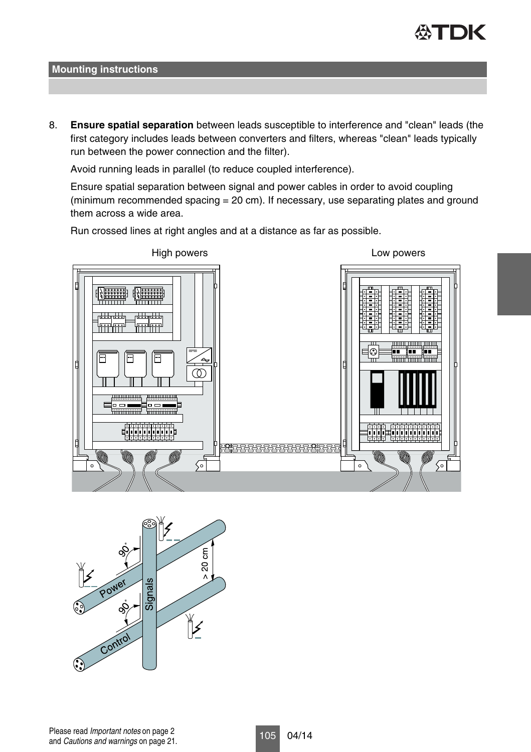

8. **Ensure spatial separation** between leads susceptible to interference and "clean" leads (the first category includes leads between converters and filters, whereas "clean" leads typically run between the power connection and the filter).

Avoid running leads in parallel (to reduce coupled interference).

Ensure spatial separation between signal and power cables in order to avoid coupling (minimum recommended spacing = 20 cm). If necessary, use separating plates and ground them across a wide area.



Run crossed lines at right angles and at a distance as far as possible.

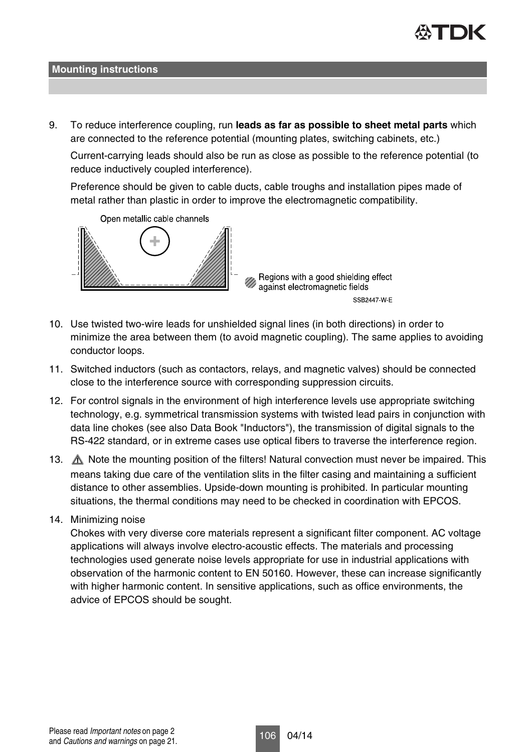

9. To reduce interference coupling, run **leads as far as possible to sheet metal parts** which are connected to the reference potential (mounting plates, switching cabinets, etc.)

Current-carrying leads should also be run as close as possible to the reference potential (to reduce inductively coupled interference).

Preference should be given to cable ducts, cable troughs and installation pipes made of metal rather than plastic in order to improve the electromagnetic compatibility.



- 10. Use twisted two-wire leads for unshielded signal lines (in both directions) in order to minimize the area between them (to avoid magnetic coupling). The same applies to avoiding conductor loops.
- 11. Switched inductors (such as contactors, relays, and magnetic valves) should be connected close to the interference source with corresponding suppression circuits.
- 12. For control signals in the environment of high interference levels use appropriate switching technology, e.g. symmetrical transmission systems with twisted lead pairs in conjunction with data line chokes (see also Data Book "Inductors"), the transmission of digital signals to the RS-422 standard, or in extreme cases use optical fibers to traverse the interference region.
- 13. A Note the mounting position of the filters! Natural convection must never be impaired. This means taking due care of the ventilation slits in the filter casing and maintaining a sufficient distance to other assemblies. Upside-down mounting is prohibited. In particular mounting situations, the thermal conditions may need to be checked in coordination with EPCOS.
- 14. Minimizing noise

Chokes with very diverse core materials represent a significant filter component. AC voltage applications will always involve electro-acoustic effects. The materials and processing technologies used generate noise levels appropriate for use in industrial applications with observation of the harmonic content to EN 50160. However, these can increase significantly with higher harmonic content. In sensitive applications, such as office environments, the advice of EPCOS should be sought.